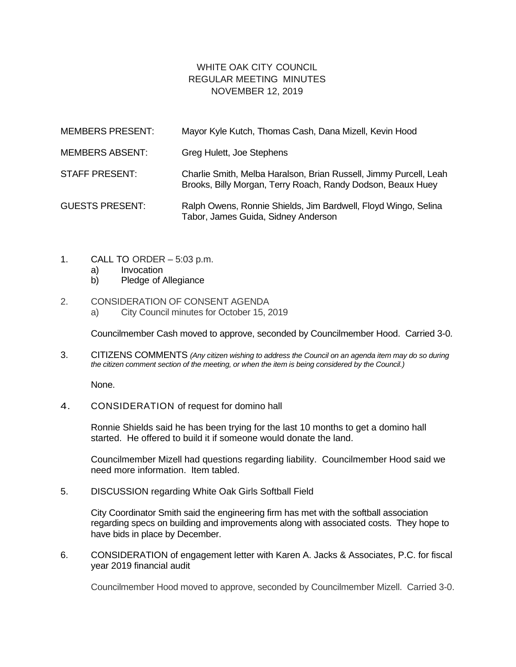## WHITE OAK CITY COUNCIL REGULAR MEETING MINUTES NOVEMBER 12, 2019

| <b>MEMBERS PRESENT:</b> | Mayor Kyle Kutch, Thomas Cash, Dana Mizell, Kevin Hood                                                                           |
|-------------------------|----------------------------------------------------------------------------------------------------------------------------------|
| <b>MEMBERS ABSENT:</b>  | Greg Hulett, Joe Stephens                                                                                                        |
| <b>STAFF PRESENT:</b>   | Charlie Smith, Melba Haralson, Brian Russell, Jimmy Purcell, Leah<br>Brooks, Billy Morgan, Terry Roach, Randy Dodson, Beaux Huey |
| <b>GUESTS PRESENT:</b>  | Ralph Owens, Ronnie Shields, Jim Bardwell, Floyd Wingo, Selina<br>Tabor, James Guida, Sidney Anderson                            |

- 1. CALL TO ORDER 5:03 p.m.
	- a) Invocation
	- b) Pledge of Allegiance

## 2. CONSIDERATION OF CONSENT AGENDA

a) City Council minutes for October 15, 2019

Councilmember Cash moved to approve, seconded by Councilmember Hood. Carried 3-0.

3. CITIZENS COMMENTS *(Any citizen wishing to address the Council on an agenda item may do so during the citizen comment section of the meeting, or when the item is being considered by the Council.)*

None.

4. CONSIDERATION of request for domino hall

Ronnie Shields said he has been trying for the last 10 months to get a domino hall started. He offered to build it if someone would donate the land.

Councilmember Mizell had questions regarding liability. Councilmember Hood said we need more information. Item tabled.

5. DISCUSSION regarding White Oak Girls Softball Field

City Coordinator Smith said the engineering firm has met with the softball association regarding specs on building and improvements along with associated costs. They hope to have bids in place by December.

6. CONSIDERATION of engagement letter with Karen A. Jacks & Associates, P.C. for fiscal year 2019 financial audit

Councilmember Hood moved to approve, seconded by Councilmember Mizell. Carried 3-0.